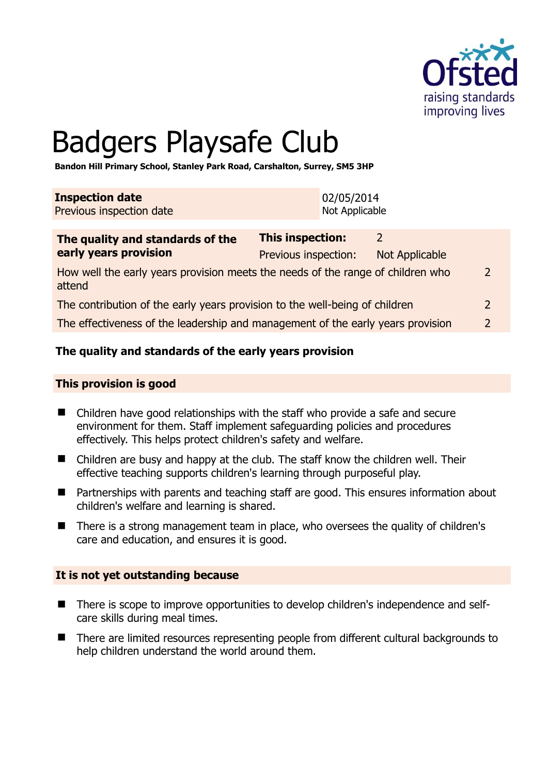

# Badgers Playsafe Club

**Bandon Hill Primary School, Stanley Park Road, Carshalton, Surrey, SM5 3HP** 

| <b>Inspection date</b>   | 02/05/2014     |
|--------------------------|----------------|
| Previous inspection date | Not Applicable |

| The quality and standards of the                                                          | This inspection:<br>$\mathcal{P}$ |                |               |
|-------------------------------------------------------------------------------------------|-----------------------------------|----------------|---------------|
| early years provision                                                                     | Previous inspection:              | Not Applicable |               |
| How well the early years provision meets the needs of the range of children who<br>attend |                                   |                |               |
| The contribution of the early years provision to the well-being of children               |                                   |                | $\mathcal{L}$ |
| The effectiveness of the leadership and management of the early years provision           |                                   |                | $\mathcal{P}$ |
|                                                                                           |                                   |                |               |

# **The quality and standards of the early years provision**

#### **This provision is good**

- Children have good relationships with the staff who provide a safe and secure environment for them. Staff implement safeguarding policies and procedures effectively. This helps protect children's safety and welfare.
- Children are busy and happy at the club. The staff know the children well. Their effective teaching supports children's learning through purposeful play.
- Partnerships with parents and teaching staff are good. This ensures information about children's welfare and learning is shared.
- There is a strong management team in place, who oversees the quality of children's care and education, and ensures it is good.

#### **It is not yet outstanding because**

- There is scope to improve opportunities to develop children's independence and selfcare skills during meal times.
- There are limited resources representing people from different cultural backgrounds to help children understand the world around them.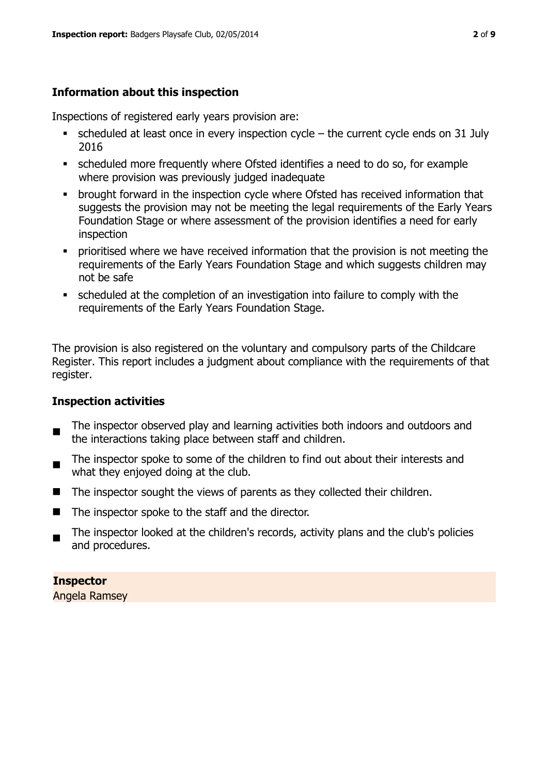# **Information about this inspection**

Inspections of registered early years provision are:

- $\blacksquare$  scheduled at least once in every inspection cycle the current cycle ends on 31 July 2016
- scheduled more frequently where Ofsted identifies a need to do so, for example where provision was previously judged inadequate
- **•** brought forward in the inspection cycle where Ofsted has received information that suggests the provision may not be meeting the legal requirements of the Early Years Foundation Stage or where assessment of the provision identifies a need for early inspection
- **•** prioritised where we have received information that the provision is not meeting the requirements of the Early Years Foundation Stage and which suggests children may not be safe
- scheduled at the completion of an investigation into failure to comply with the requirements of the Early Years Foundation Stage.

The provision is also registered on the voluntary and compulsory parts of the Childcare Register. This report includes a judgment about compliance with the requirements of that register.

# **Inspection activities**

- п The inspector observed play and learning activities both indoors and outdoors and the interactions taking place between staff and children.
- The inspector spoke to some of the children to find out about their interests and what they enjoyed doing at the club.
- The inspector sought the views of parents as they collected their children.
- The inspector spoke to the staff and the director.
- $\blacksquare$ The inspector looked at the children's records, activity plans and the club's policies and procedures.

**Inspector**  Angela Ramsey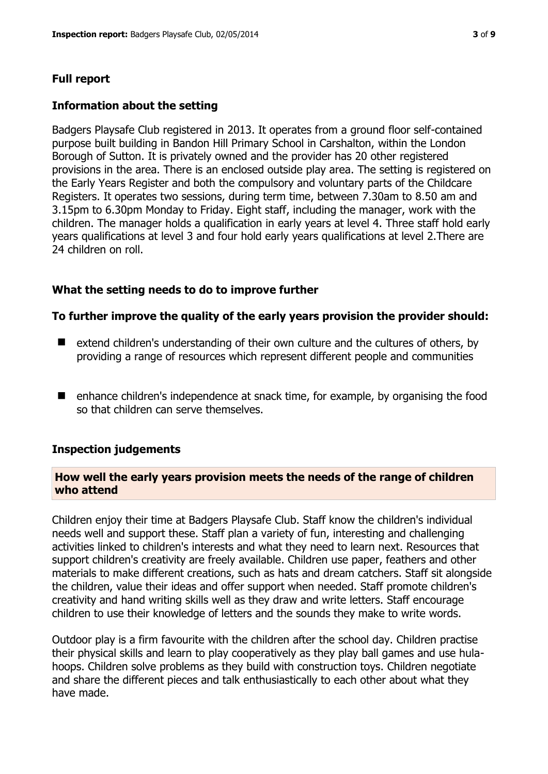# **Full report**

# **Information about the setting**

Badgers Playsafe Club registered in 2013. It operates from a ground floor self-contained purpose built building in Bandon Hill Primary School in Carshalton, within the London Borough of Sutton. It is privately owned and the provider has 20 other registered provisions in the area. There is an enclosed outside play area. The setting is registered on the Early Years Register and both the compulsory and voluntary parts of the Childcare Registers. It operates two sessions, during term time, between 7.30am to 8.50 am and 3.15pm to 6.30pm Monday to Friday. Eight staff, including the manager, work with the children. The manager holds a qualification in early years at level 4. Three staff hold early years qualifications at level 3 and four hold early years qualifications at level 2.There are 24 children on roll.

## **What the setting needs to do to improve further**

## **To further improve the quality of the early years provision the provider should:**

- $\blacksquare$  extend children's understanding of their own culture and the cultures of others, by providing a range of resources which represent different people and communities
- enhance children's independence at snack time, for example, by organising the food so that children can serve themselves.

#### **Inspection judgements**

#### **How well the early years provision meets the needs of the range of children who attend**

Children enjoy their time at Badgers Playsafe Club. Staff know the children's individual needs well and support these. Staff plan a variety of fun, interesting and challenging activities linked to children's interests and what they need to learn next. Resources that support children's creativity are freely available. Children use paper, feathers and other materials to make different creations, such as hats and dream catchers. Staff sit alongside the children, value their ideas and offer support when needed. Staff promote children's creativity and hand writing skills well as they draw and write letters. Staff encourage children to use their knowledge of letters and the sounds they make to write words.

Outdoor play is a firm favourite with the children after the school day. Children practise their physical skills and learn to play cooperatively as they play ball games and use hulahoops. Children solve problems as they build with construction toys. Children negotiate and share the different pieces and talk enthusiastically to each other about what they have made.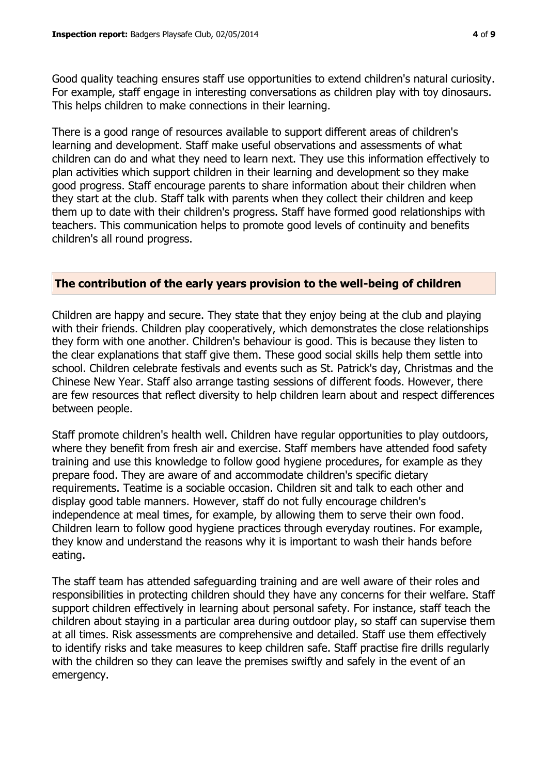Good quality teaching ensures staff use opportunities to extend children's natural curiosity. For example, staff engage in interesting conversations as children play with toy dinosaurs. This helps children to make connections in their learning.

There is a good range of resources available to support different areas of children's learning and development. Staff make useful observations and assessments of what children can do and what they need to learn next. They use this information effectively to plan activities which support children in their learning and development so they make good progress. Staff encourage parents to share information about their children when they start at the club. Staff talk with parents when they collect their children and keep them up to date with their children's progress. Staff have formed good relationships with teachers. This communication helps to promote good levels of continuity and benefits children's all round progress.

#### **The contribution of the early years provision to the well-being of children**

Children are happy and secure. They state that they enjoy being at the club and playing with their friends. Children play cooperatively, which demonstrates the close relationships they form with one another. Children's behaviour is good. This is because they listen to the clear explanations that staff give them. These good social skills help them settle into school. Children celebrate festivals and events such as St. Patrick's day, Christmas and the Chinese New Year. Staff also arrange tasting sessions of different foods. However, there are few resources that reflect diversity to help children learn about and respect differences between people.

Staff promote children's health well. Children have regular opportunities to play outdoors, where they benefit from fresh air and exercise. Staff members have attended food safety training and use this knowledge to follow good hygiene procedures, for example as they prepare food. They are aware of and accommodate children's specific dietary requirements. Teatime is a sociable occasion. Children sit and talk to each other and display good table manners. However, staff do not fully encourage children's independence at meal times, for example, by allowing them to serve their own food. Children learn to follow good hygiene practices through everyday routines. For example, they know and understand the reasons why it is important to wash their hands before eating.

The staff team has attended safeguarding training and are well aware of their roles and responsibilities in protecting children should they have any concerns for their welfare. Staff support children effectively in learning about personal safety. For instance, staff teach the children about staying in a particular area during outdoor play, so staff can supervise them at all times. Risk assessments are comprehensive and detailed. Staff use them effectively to identify risks and take measures to keep children safe. Staff practise fire drills regularly with the children so they can leave the premises swiftly and safely in the event of an emergency.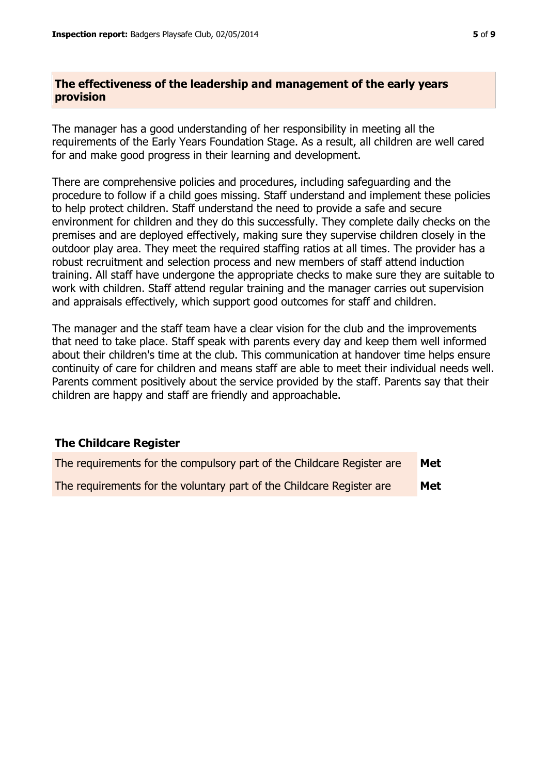# **The effectiveness of the leadership and management of the early years provision**

The manager has a good understanding of her responsibility in meeting all the requirements of the Early Years Foundation Stage. As a result, all children are well cared for and make good progress in their learning and development.

There are comprehensive policies and procedures, including safeguarding and the procedure to follow if a child goes missing. Staff understand and implement these policies to help protect children. Staff understand the need to provide a safe and secure environment for children and they do this successfully. They complete daily checks on the premises and are deployed effectively, making sure they supervise children closely in the outdoor play area. They meet the required staffing ratios at all times. The provider has a robust recruitment and selection process and new members of staff attend induction training. All staff have undergone the appropriate checks to make sure they are suitable to work with children. Staff attend regular training and the manager carries out supervision and appraisals effectively, which support good outcomes for staff and children.

The manager and the staff team have a clear vision for the club and the improvements that need to take place. Staff speak with parents every day and keep them well informed about their children's time at the club. This communication at handover time helps ensure continuity of care for children and means staff are able to meet their individual needs well. Parents comment positively about the service provided by the staff. Parents say that their children are happy and staff are friendly and approachable.

# **The Childcare Register**

| The requirements for the compulsory part of the Childcare Register are | Met |
|------------------------------------------------------------------------|-----|
| The requirements for the voluntary part of the Childcare Register are  | Met |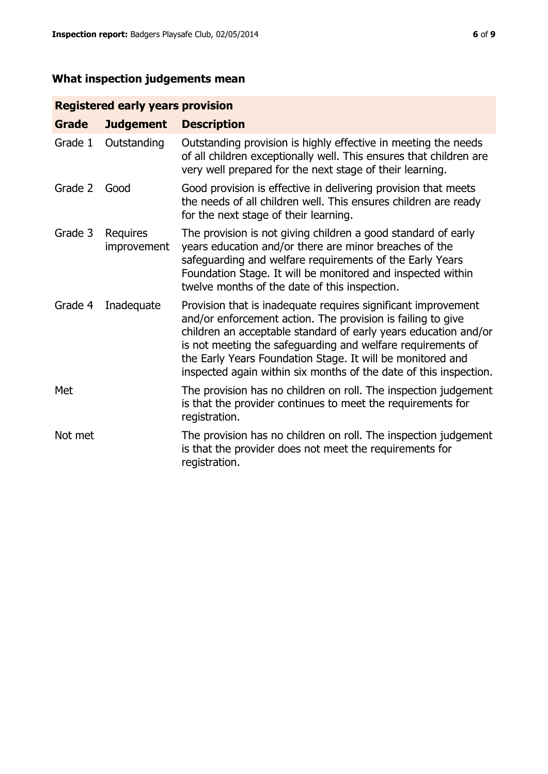# **What inspection judgements mean**

# **Registered early years provision**

| <b>Grade</b> | <b>Judgement</b>        | <b>Description</b>                                                                                                                                                                                                                                                                                                                                                                                |
|--------------|-------------------------|---------------------------------------------------------------------------------------------------------------------------------------------------------------------------------------------------------------------------------------------------------------------------------------------------------------------------------------------------------------------------------------------------|
| Grade 1      | Outstanding             | Outstanding provision is highly effective in meeting the needs<br>of all children exceptionally well. This ensures that children are<br>very well prepared for the next stage of their learning.                                                                                                                                                                                                  |
| Grade 2      | Good                    | Good provision is effective in delivering provision that meets<br>the needs of all children well. This ensures children are ready<br>for the next stage of their learning.                                                                                                                                                                                                                        |
| Grade 3      | Requires<br>improvement | The provision is not giving children a good standard of early<br>years education and/or there are minor breaches of the<br>safeguarding and welfare requirements of the Early Years<br>Foundation Stage. It will be monitored and inspected within<br>twelve months of the date of this inspection.                                                                                               |
| Grade 4      | Inadequate              | Provision that is inadequate requires significant improvement<br>and/or enforcement action. The provision is failing to give<br>children an acceptable standard of early years education and/or<br>is not meeting the safeguarding and welfare requirements of<br>the Early Years Foundation Stage. It will be monitored and<br>inspected again within six months of the date of this inspection. |
| Met          |                         | The provision has no children on roll. The inspection judgement<br>is that the provider continues to meet the requirements for<br>registration.                                                                                                                                                                                                                                                   |
| Not met      |                         | The provision has no children on roll. The inspection judgement<br>is that the provider does not meet the requirements for<br>registration.                                                                                                                                                                                                                                                       |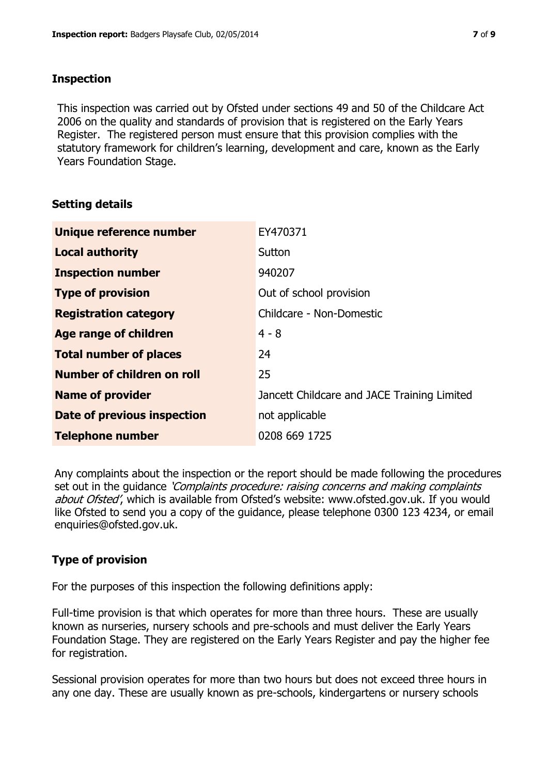# **Inspection**

This inspection was carried out by Ofsted under sections 49 and 50 of the Childcare Act 2006 on the quality and standards of provision that is registered on the Early Years Register. The registered person must ensure that this provision complies with the statutory framework for children's learning, development and care, known as the Early Years Foundation Stage.

# **Setting details**

| Unique reference number            | EY470371                                    |
|------------------------------------|---------------------------------------------|
| <b>Local authority</b>             | Sutton                                      |
| <b>Inspection number</b>           | 940207                                      |
| <b>Type of provision</b>           | Out of school provision                     |
| <b>Registration category</b>       | Childcare - Non-Domestic                    |
| Age range of children              | $4 - 8$                                     |
| <b>Total number of places</b>      | 24                                          |
| Number of children on roll         | 25                                          |
| <b>Name of provider</b>            | Jancett Childcare and JACE Training Limited |
| <b>Date of previous inspection</b> | not applicable                              |
| <b>Telephone number</b>            | 0208 669 1725                               |

Any complaints about the inspection or the report should be made following the procedures set out in the guidance *'Complaints procedure: raising concerns and making complaints* about Ofsted', which is available from Ofsted's website: www.ofsted.gov.uk. If you would like Ofsted to send you a copy of the guidance, please telephone 0300 123 4234, or email enquiries@ofsted.gov.uk.

# **Type of provision**

For the purposes of this inspection the following definitions apply:

Full-time provision is that which operates for more than three hours. These are usually known as nurseries, nursery schools and pre-schools and must deliver the Early Years Foundation Stage. They are registered on the Early Years Register and pay the higher fee for registration.

Sessional provision operates for more than two hours but does not exceed three hours in any one day. These are usually known as pre-schools, kindergartens or nursery schools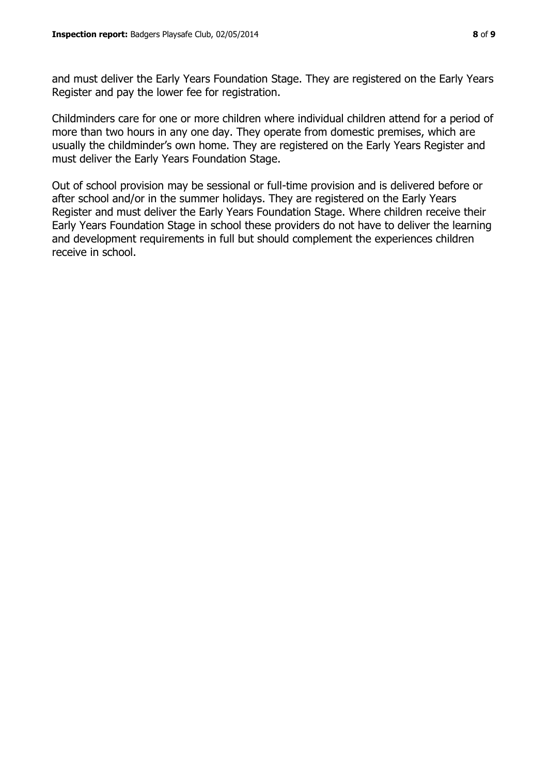and must deliver the Early Years Foundation Stage. They are registered on the Early Years Register and pay the lower fee for registration.

Childminders care for one or more children where individual children attend for a period of more than two hours in any one day. They operate from domestic premises, which are usually the childminder's own home. They are registered on the Early Years Register and must deliver the Early Years Foundation Stage.

Out of school provision may be sessional or full-time provision and is delivered before or after school and/or in the summer holidays. They are registered on the Early Years Register and must deliver the Early Years Foundation Stage. Where children receive their Early Years Foundation Stage in school these providers do not have to deliver the learning and development requirements in full but should complement the experiences children receive in school.